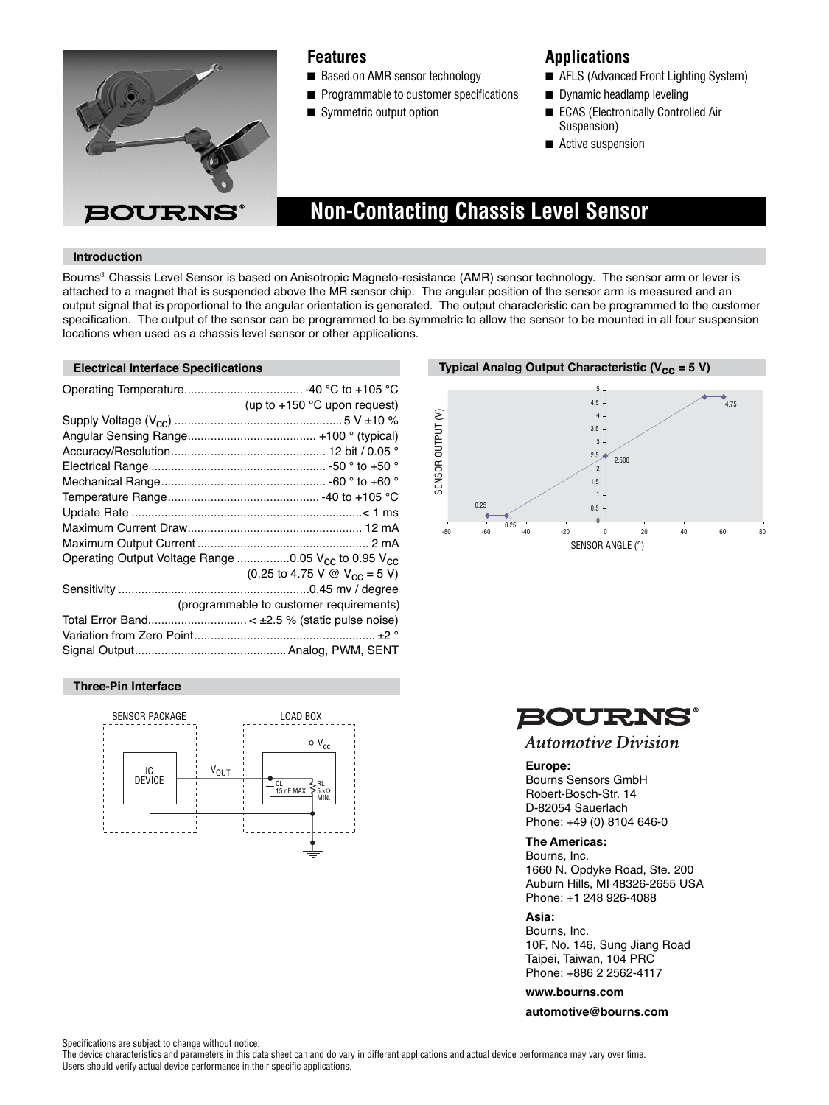

# **Features**

- Based on AMR sensor technology
- Programmable to customer specifications
- Symmetric output option

# **Applications**

- AFLS (Advanced Front Lighting System)
- Dynamic headlamp leveling
- ECAS (Electronically Controlled Air Suspension)
- Active suspension

# **Non-Contacting Chassis Level Sensor**

### **Introduction**

Bourns® Chassis Level Sensor is based on Anisotropic Magneto-resistance (AMR) sensor technology. The sensor arm or lever is attached to a magnet that is suspended above the MR sensor chip. The angular position of the sensor arm is measured and an output signal that is proportional to the angular orientation is generated. The output characteristic can be programmed to the customer specification. The output of the sensor can be programmed to be symmetric to allow the sensor to be mounted in all four suspension locations when used as a chassis level sensor or other applications.

|                                                                             | (up to $+150$ °C upon request)                                      |
|-----------------------------------------------------------------------------|---------------------------------------------------------------------|
|                                                                             |                                                                     |
|                                                                             |                                                                     |
|                                                                             |                                                                     |
|                                                                             |                                                                     |
|                                                                             |                                                                     |
|                                                                             |                                                                     |
|                                                                             |                                                                     |
|                                                                             |                                                                     |
|                                                                             |                                                                     |
| Operating Output Voltage Range 0.05 V <sub>CC</sub> to 0.95 V <sub>CC</sub> |                                                                     |
|                                                                             | $(0.25 \text{ to } 4.75 \text{ V} \text{ @ } V_{CC} = 5 \text{ V})$ |
|                                                                             |                                                                     |
|                                                                             | (programmable to customer requirements)                             |
|                                                                             |                                                                     |
|                                                                             |                                                                     |
|                                                                             |                                                                     |

#### **Three-Pin Interface**



**Electrical Interface Specifications Typical Analog Output Characteristic (V<sub>CC</sub> = 5 V)** 





### **Automotive Division**

#### **Europe:**

Bourns Sensors GmbH Robert-Bosch-Str. 14 D-82054 Sauerlach Phone: +49 (0) 8104 646-0

#### **The Americas:**

Bourns, Inc. 1660 N. Opdyke Road, Ste. 200 Auburn Hills, MI 48326-2655 USA Phone: +1 248 926-4088

#### **Asia:**

Bourns, Inc. 10F, No. 146, Sung Jiang Road Taipei, Taiwan, 104 PRC Phone: +886 2 2562-4117

**www.bourns.com**

**automotive@bourns.com**

Specifications are subject to change without notice.

The device characteristics and parameters in this data sheet can and do vary in different applications and actual device performance may vary over time. Users should verify actual device performance in their specific applications.